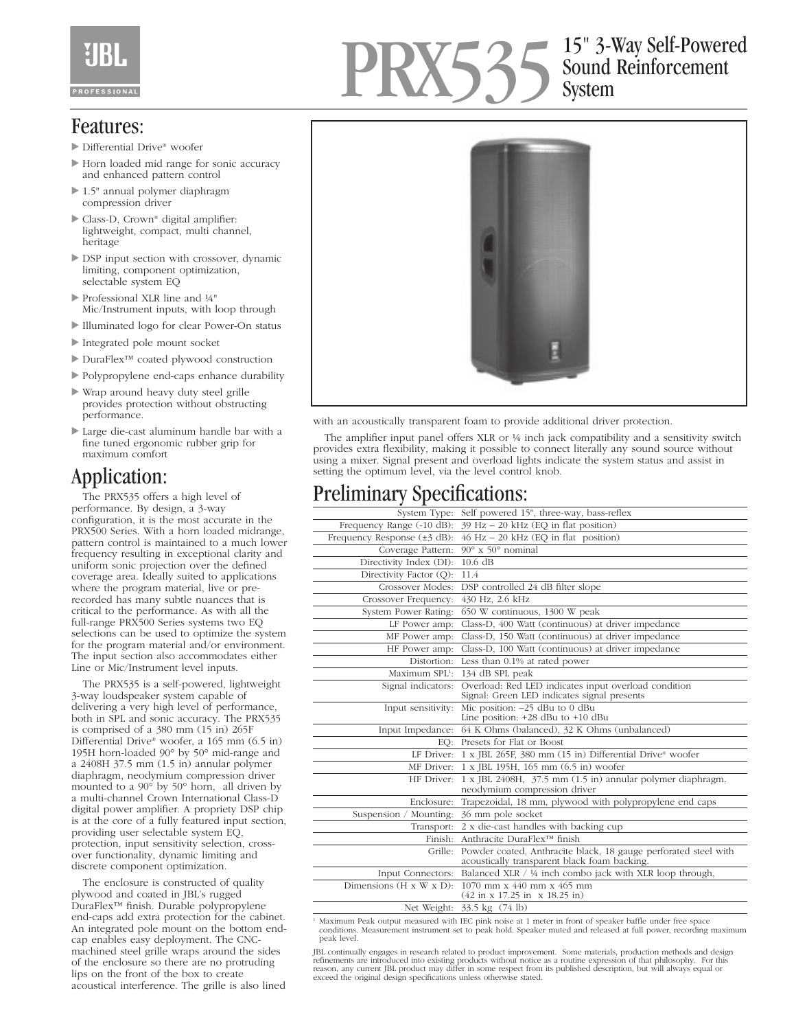# PRX535 15" 3-Way Self-Powered Sound Reinforcement System

### Features:

- ▶ Differential Drive® woofer
- Horn loaded mid range for sonic accuracy and enhanced pattern control
- 1.5" annual polymer diaphragm compression driver
- ▶ Class-D, Crown® digital amplifier: lightweight, compact, multi channel, heritage
- DSP input section with crossover, dynamic limiting, component optimization, selectable system EQ
- Professional XLR line and ¼" Mic/Instrument inputs, with loop through
- Illuminated logo for clear Power-On status
- Integrated pole mount socket
- DuraFlex™ coated plywood construction
- Polypropylene end-caps enhance durability
- Wrap around heavy duty steel grille provides protection without obstructing performance.
- Large die-cast aluminum handle bar with a fine tuned ergonomic rubber grip for maximum comfort

# Application:

The PRX535 offers a high level of performance. By design, a 3-way configuration, it is the most accurate in the PRX500 Series. With a horn loaded midrange, pattern control is maintained to a much lower frequency resulting in exceptional clarity and uniform sonic projection over the defined coverage area. Ideally suited to applications where the program material, live or prerecorded has many subtle nuances that is critical to the performance. As with all the full-range PRX500 Series systems two EQ selections can be used to optimize the system for the program material and/or environment. The input section also accommodates either Line or Mic/Instrument level inputs.

The PRX535 is a self-powered, lightweight 3-way loudspeaker system capable of delivering a very high level of performance, both in SPL and sonic accuracy. The PRX535 is comprised of a 380 mm (15 in) 265F Differential Drive® woofer, a 165 mm (6.5 in) 195H horn-loaded 90° by 50° mid-range and a 2408H 37.5 mm (1.5 in) annular polymer diaphragm, neodymium compression driver mounted to a 90° by 50° horn, all driven by a multi-channel Crown International Class-D digital power amplifier. A propriety DSP chip is at the core of a fully featured input section, providing user selectable system EQ, protection, input sensitivity selection, crossover functionality, dynamic limiting and discrete component optimization.

The enclosure is constructed of quality plywood and coated in JBL's rugged DuraFlex™ finish. Durable polypropylene end-caps add extra protection for the cabinet. An integrated pole mount on the bottom endcap enables easy deployment. The CNCmachined steel grille wraps around the sides of the enclosure so there are no protruding lips on the front of the box to create acoustical interference. The grille is also lined



with an acoustically transparent foam to provide additional driver protection.

The amplifier input panel offers XLR or ¼ inch jack compatibility and a sensitivity switch provides extra flexibility, making it possible to connect literally any sound source without using a mixer. Signal present and overload lights indicate the system status and assist in setting the optimum level, via the level control knob.

# Preliminary Specifications:

| Self powered 15", three-way, bass-reflex<br>System Type:                                                                             |
|--------------------------------------------------------------------------------------------------------------------------------------|
| $39$ Hz $- 20$ kHz (EQ in flat position)                                                                                             |
| $46$ Hz $-$ 20 kHz (EQ in flat position)                                                                                             |
| $90^\circ$ x $50^\circ$ nominal                                                                                                      |
| 10.6 dB                                                                                                                              |
| 11.4                                                                                                                                 |
| DSP controlled 24 dB filter slope                                                                                                    |
| 430 Hz, 2.6 kHz                                                                                                                      |
| 650 W continuous, 1300 W peak                                                                                                        |
| Class-D, 400 Watt (continuous) at driver impedance                                                                                   |
| Class-D, 150 Watt (continuous) at driver impedance                                                                                   |
| Class-D, 100 Watt (continuous) at driver impedance                                                                                   |
| Less than 0.1% at rated power<br>Distortion:                                                                                         |
| 134 dB SPL peak                                                                                                                      |
| Overload: Red LED indicates input overload condition<br>Signal: Green LED indicates signal presents                                  |
| Mic position: $-25$ dBu to 0 dBu<br>Line position: $+28$ dBu to $+10$ dBu                                                            |
| 64 K Ohms (balanced), 32 K Ohms (unbalanced)<br>Input Impedance:                                                                     |
| Presets for Flat or Boost<br>EO:                                                                                                     |
| LF Driver: 1 x JBL 265F, 380 mm (15 in) Differential Drive® woofer                                                                   |
| 1 x JBL 195H, 165 mm (6.5 in) woofer                                                                                                 |
| 1 x JBL 2408H, 37.5 mm (1.5 in) annular polymer diaphragm,<br>neodymium compression driver                                           |
| Trapezoidal, 18 mm, plywood with polypropylene end caps                                                                              |
| 36 mm pole socket                                                                                                                    |
| $2 \times$ die-cast handles with backing cup<br>Transport:                                                                           |
| Finish:<br>Anthracite DuraFlex™ finish                                                                                               |
| Powder coated, Anthracite black, 18 gauge perforated steel with<br>acoustically transparent black foam backing.                      |
| Balanced XLR / 1/4 inch combo jack with XLR loop through,<br>Input Connectors:                                                       |
| $1070$ mm x $440$ mm x $465$ mm<br>Dimensions $(H \times W \times D)$ :<br>$(42 \text{ in } x 17.25 \text{ in } x 18.25 \text{ in})$ |
| Net Weight: 33.5 kg (74 lb)                                                                                                          |
|                                                                                                                                      |

1. Maximum Peak output measured with IEC pink noise at 1 meter in front of speaker baffle under free space conditions. Measurement instrument set to peak hold. Speaker muted and released at full power, recording maximum peak level.

JBL continually engages in research related to product improvement. Some materials, production methods and design<br>refinements are introduced into existing products without notice as a routine expression of that philosophy. exceed the original design specifications unless otherwise stated.